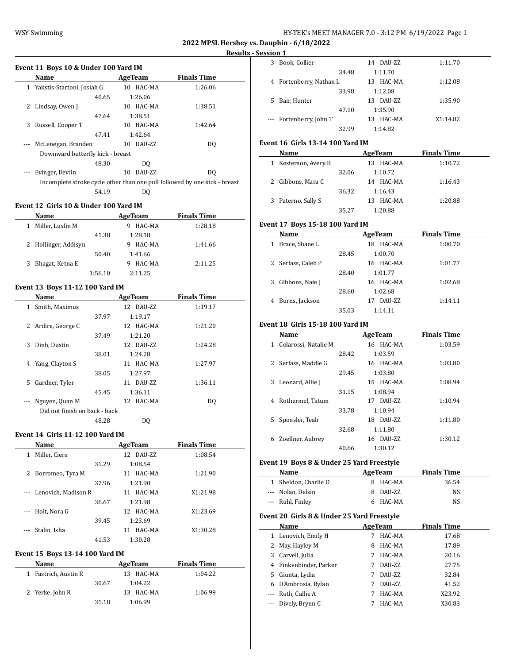### WSY Swimming **HY-TEK's MEET MANAGER 7.0 - 3:12 PM 6/19/2022** Page 1

# **2022 MPSL Hershey vs. Dauphin - 6/18/2022**

## **Results - Session 1**

|   | Name                             |       |    | AgeTeam       | <b>Finals Time</b> |
|---|----------------------------------|-------|----|---------------|--------------------|
|   | 1 Yakstis-Startoni, Josiah G     |       | 10 | HAC-MA        | 1:26.06            |
|   |                                  | 40.65 |    | 1:26.06       |                    |
|   | 2 Lindsay, Owen J                |       | 10 | HAC-MA        | 1:38.51            |
|   |                                  | 47.64 |    | 1:38.51       |                    |
| 3 | Russell, Cooper T                |       | 10 | HAC-MA        | 1:42.64            |
|   |                                  | 47.41 |    | 1:42.64       |                    |
|   | --- McLenegan, Branden           |       | 10 | <b>DAU-ZZ</b> | DΟ                 |
|   | Downward butterfly kick - breast |       |    |               |                    |
|   |                                  | 48.30 |    | DO            |                    |

--- Evinger, Deviln 10 DAU-ZZ DQ Incomplete stroke cycle other than one pull followed by one kick - breast 54.19 DQ

#### **Event 12 Girls 10 & Under 100 Yard IM**

| <b>Name</b>           |         | AgeTeam     | <b>Finals Time</b> |
|-----------------------|---------|-------------|--------------------|
| Miller, Luxlin M<br>1 |         | HAC-MA<br>9 | 1:28.18            |
|                       | 41.38   | 1:28.18     |                    |
| 2 Hollinger, Addisyn  |         | HAC-MA<br>9 | 1:41.66            |
|                       | 50.40   | 1:41.66     |                    |
| Bhagat, Ketna E<br>3  |         | HAC-MA<br>q | 2:11.25            |
|                       | 1:56.10 | 2:11.25     |                    |

#### **Event 13 Boys 11-12 100 Yard IM**

|    | <b>Name</b>                   |       | AgeTeam             | <b>Finals Time</b> |
|----|-------------------------------|-------|---------------------|--------------------|
| 1  | Smith, Maximus                |       | 12 DAU-7.7          | 1:19.17            |
|    |                               | 37.97 | 1:19.17             |                    |
|    | 2 Ardire, George C            |       | 12 HAC-MA           | 1:21.20            |
|    |                               | 37.49 | 1:21.20             |                    |
| 3  | Dinh, Dustin                  |       | 12 DAU-ZZ           | 1:24.28            |
|    |                               | 38.01 | 1:24.28             |                    |
| 4  | Yang, Clayton S               |       | 11 HAC-MA           | 1:27.97            |
|    |                               | 38.05 | 1:27.97             |                    |
| 5. | Gardner, Tyler                |       | <b>DAU-ZZ</b><br>11 | 1:36.11            |
|    |                               | 45.45 | 1:36.11             |                    |
|    | Nguyen, Quan M                |       | 12 HAC-MA           | DO.                |
|    | Did not finish on back - back |       |                     |                    |
|    |                               | 48.28 | DO                  |                    |

#### **Event 14 Girls 11-12 100 Yard IM**

|   | Name                    | AgeTeam               | <b>Finals Time</b> |  |
|---|-------------------------|-----------------------|--------------------|--|
| 1 | Miller, Ciera           | <b>DAU-7.7.</b><br>12 | 1:08.54            |  |
|   | 31.29                   | 1:08.54               |                    |  |
| 2 | Borromeo, Tyra M        | 11 HAC-MA             | 1:21.90            |  |
|   | 37.96                   | 1:21.90               |                    |  |
|   | --- Lenovich, Madison R | 11 HAC-MA             | X1:21.98           |  |
|   | 36.67                   | 1:21.98               |                    |  |
|   | Holt, Nora G            | 12 HAC-MA             | X1:23.69           |  |
|   | 39.45                   | 1:23.69               |                    |  |
|   | Stalin, Isha            | HAC-MA<br>11          | X1:30.28           |  |
|   | 41.53                   | 1:30.28               |                    |  |

#### **Event 15 Boys 13-14 100 Yard IM**

| <b>Name</b>          |       | AgeTeam   | <b>Finals Time</b> |
|----------------------|-------|-----------|--------------------|
| 1 Fastrich, Austin R |       | 13 HAC-MA | 1:04.22            |
|                      | 30.67 | 1:04.22   |                    |
| 2 Yerke, John R      |       | 13 HAC-MA | 1:06.99            |
|                      | 31.18 | 1:06.99   |                    |

| . |                         |              |          |
|---|-------------------------|--------------|----------|
| 3 | Book, Collier           | 14 DAU-ZZ    | 1:11.70  |
|   | 34.48                   | 1:11.70      |          |
|   | 4 Fortenberry, Nathan L | HAC-MA<br>13 | 1:12.08  |
|   | 33.98                   | 1:12.08      |          |
|   | Bair, Hunter            | DAU-ZZ<br>13 | 1:35.90  |
|   | 47.10                   | 1:35.90      |          |
|   | --- Fortenberry, John T | HAC-MA<br>13 | X1:14.82 |
|   | 32.99                   | 1:14.82      |          |

### **Event 16 Girls 13-14 100 Yard IM**

| <b>Name</b>          |       | AgeTeam       | <b>Finals Time</b> |
|----------------------|-------|---------------|--------------------|
| 1 Kesterson, Avery B |       | 13 HAC-MA     | 1:10.72            |
|                      | 32.06 | 1:10.72       |                    |
| 2 Gibbons, Mara C    |       | 14 HAC-MA     | 1:16.43            |
|                      | 36.32 | 1:16.43       |                    |
| 3 Paterno, Sally S   |       | HAC-MA<br>13. | 1:20.88            |
|                      | 35.27 | 1:20.88       |                    |

### **Event 17 Boys 15-18 100 Yard IM**

| <b>Name</b>          |       | AgeTeam      | <b>Finals Time</b> |  |
|----------------------|-------|--------------|--------------------|--|
| Brace, Shane L<br>1  |       | HAC-MA<br>18 | 1:00.70            |  |
|                      | 28.45 | 1:00.70      |                    |  |
| 2 Serfass, Caleb P   |       | 16 HAC-MA    | 1:01.77            |  |
|                      | 28.40 | 1:01.77      |                    |  |
| Gibbons, Nate J<br>3 |       | 16 HAC-MA    | 1:02.68            |  |
|                      | 28.60 | 1:02.68      |                    |  |
| Burns, Jackson<br>4  |       | DAU-ZZ<br>17 | 1:14.11            |  |
|                      | 35.03 | 1:14.11      |                    |  |

#### **Event 18 Girls 15-18 100 Yard IM**

 $\overline{\phantom{a}}$ 

| Name                      |       | AgeTeam      | <b>Finals Time</b> |  |
|---------------------------|-------|--------------|--------------------|--|
| Colarossi, Natalie M<br>1 |       | 16 HAC-MA    | 1:03.59            |  |
|                           | 28.42 | 1:03.59      |                    |  |
| Serfass, Maddie G<br>2    |       | 16 HAC-MA    | 1:03.80            |  |
|                           | 29.45 | 1:03.80      |                    |  |
| Leonard, Allie J<br>3     |       | 15 HAC-MA    | 1:08.94            |  |
|                           | 31.15 | 1:08.94      |                    |  |
| Rothermel, Tatum<br>4     |       | 17 DAU-ZZ    | 1:10.94            |  |
|                           | 33.78 | 1:10.94      |                    |  |
| Sponsler, Teah<br>5.      |       | DAU-ZZ<br>18 | 1:11.80            |  |
|                           | 32.68 | 1:11.80      |                    |  |
| Zoellner, Aubrey<br>6     |       | 16 DAU-ZZ    | 1:30.12            |  |
|                           | 40.66 | 1:30.12      |                    |  |
|                           |       |              |                    |  |

#### **Event 19 Boys 8 & Under 25 Yard Freestyle**

| Name                 | AgeTeam  | <b>Finals Time</b> |  |
|----------------------|----------|--------------------|--|
| 1 Sheldon, Charlie O | 8 HAC-MA | 36.54              |  |
| --- Nolan, Delsin    | 8 DAU-ZZ | NS.                |  |
| --- Ruhl, Finley     | 6 HAC-MA | NS.                |  |

### **Event 20 Girls 8 & Under 25 Yard Freestyle**

|          | Name                   |   | AgeTeam | <b>Finals Time</b> |
|----------|------------------------|---|---------|--------------------|
|          | 1 Lenovich, Emily H    |   | HAC-MA  | 17.68              |
|          | 2 May, Hayley M        | 8 | HAC-MA  | 17.89              |
|          | 3 Carvell, Julia       |   | HAC-MA  | 20.16              |
|          | 4 Finkenbinder, Parker |   | DAU-ZZ  | 27.75              |
| 5.       | Giunta, Lydia          |   | DAU-ZZ  | 32.84              |
| 6        | D'Ambrosia, Rylan      |   | DAU-ZZ  | 41.52              |
| $\cdots$ | Ruth, Callie A         |   | HAC-MA  | X23.92             |
|          | --- Dively, Brynn C    |   | HAC-MA  | X30.83             |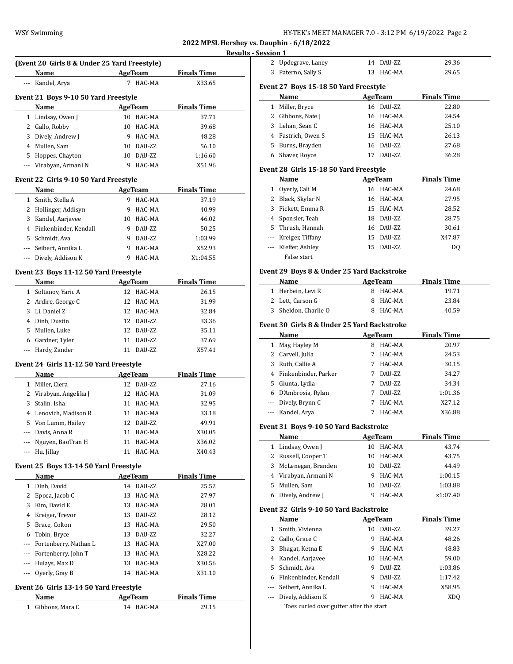| HY-TEK's MEET MANAGER 7.0 - 3:12 PM 6/19/2022 Page 2 |  |  |
|------------------------------------------------------|--|--|
|------------------------------------------------------|--|--|

3 Paterno, Sally S 13 HAC-MA 29.65

**2022 MPSL Hershey vs. Dauphin - 6/18/2022**

## **Session 1** 2 Updegrave, Laney 14 DAU-ZZ 29.36

|                      |                                              |                        |                    | Results - Session 1                       |                         |
|----------------------|----------------------------------------------|------------------------|--------------------|-------------------------------------------|-------------------------|
|                      | (Event 20 Girls 8 & Under 25 Yard Freestyle) |                        |                    | 2 Updegrave, Laney                        | 14 DA                   |
|                      | Name                                         | AgeTeam                | <b>Finals Time</b> | 3 Paterno, Sally S                        | 13 HA                   |
| $\cdots$             | Kandel, Arya                                 | 7 HAC-MA               | X33.65             | Event 27 Boys 15-18 50 Yard Freestyle     |                         |
|                      | Event 21 Boys 9-10 50 Yard Freestyle         |                        |                    | <b>Name</b>                               | <b>AgeTeal</b>          |
|                      | Name                                         | <b>AgeTeam</b>         | <b>Finals Time</b> | 1 Miller, Bryce                           | 16 DA                   |
|                      | 1 Lindsay, Owen J                            | 10 HAC-MA              | 37.71              | 2 Gibbons, Nate J                         | 16 HA                   |
|                      | 2 Gallo, Robby                               | 10 HAC-MA              | 39.68              | Lehan, Sean C<br>3                        | 16 HA                   |
| 3                    | Dively, Andrew J                             | 9 HAC-MA               | 48.28              | Fastrich, Owen S<br>4                     | 15 HA                   |
| 4                    | Mullen, Sam                                  | 10 DAU-ZZ              | 56.10              | Burns, Brayden<br>5.                      | 16 DA                   |
|                      | 5 Hoppes, Chayton                            | 10 DAU-ZZ              | 1:16.60            | Shaver, Royce<br>6                        | 17 DA                   |
| ---                  | Virabyan, Armani N                           | 9 HAC-MA               | X51.96             |                                           |                         |
|                      |                                              |                        |                    | Event 28 Girls 15-18 50 Yard Freestyle    |                         |
|                      | Event 22 Girls 9-10 50 Yard Freestyle        |                        |                    | Name                                      | <b>AgeTeal</b><br>16 HA |
|                      | Name                                         | AgeTeam                | <b>Finals Time</b> | 1 Oyerly, Cali M                          | 16 HA                   |
|                      | 1 Smith, Stella A                            | 9 HAC-MA               | 37.19              | 2 Black, Skylar N<br>Fickett, Emma R<br>3 |                         |
|                      | 2 Hollinger, Addisyn                         | 9 HAC-MA               | 40.99              | Sponsler, Teah<br>4                       | 15 HA<br>18 DA          |
| 3                    | Kandel, Aarjavee                             | 10 HAC-MA              | 46.02              | Thrush, Hannah<br>5                       | 16 DA                   |
| 4                    | Finkenbinder, Kendall                        | 9 DAU-ZZ               | 50.25              | Kreiger, Tiffany                          | 15 DA                   |
| 5                    | Schmidt, Ava                                 | 9 DAU-ZZ               | 1:03.99            | Kieffer, Ashley                           | 15 DA                   |
| $---$                | Seibert, Annika L                            | 9 HAC-MA               | X52.93             | False start                               |                         |
| $\cdots$             | Dively, Addison K                            | 9 HAC-MA               | X1:04.55           |                                           |                         |
|                      | Event 23 Boys 11-12 50 Yard Freestyle        |                        |                    | Event 29 Boys 8 & Under 25 Yard Backs     |                         |
|                      | Name                                         | AgeTeam                | <b>Finals Time</b> | Name                                      | <b>AgeTear</b>          |
|                      | 1 Soltanov, Yaric A                          | 12 HAC-MA              | 26.15              | 1 Herbein, Levi R                         | 8 HA                    |
|                      | 2 Ardire, George C                           | 12 HAC-MA              | 31.99              | 2 Lett, Carson G                          | 8 HA                    |
|                      | 3 Li, Daniel Z                               | 12 HAC-MA              | 32.84              | 3 Sheldon, Charlie O                      | 8 HA                    |
| 4                    | Dinh, Dustin                                 | 12 DAU-ZZ              | 33.36              | Event 30 Girls 8 & Under 25 Yard Backs    |                         |
| 5                    | Mullen, Luke                                 | 12 DAU-ZZ              | 35.11              |                                           |                         |
| 6                    | Gardner, Tyler                               | 11 DAU-ZZ              | 37.69              | Name                                      | <b>AgeTeal</b>          |
|                      | --- Hardy, Zander                            | 11 DAU-ZZ              | X57.41             | 1 May, Hayley M<br>Carvell, Julia         | 8 HA                    |
|                      | Event 24 Girls 11-12 50 Yard Freestyle       |                        |                    | 2<br>Ruth, Callie A<br>3                  | 7 HA<br>7 HA            |
|                      | Name                                         | <b>AgeTeam</b>         | <b>Finals Time</b> | Finkenbinder, Parker<br>4                 | 7 DA                    |
|                      |                                              | 12 DAU-ZZ              | 27.16              | 5<br>Giunta, Lydia                        | 7 DA                    |
|                      | 1 Miller, Ciera                              | 12 HAC-MA              |                    | D'Ambrosia, Rylan<br>6                    | 7 DA                    |
|                      | 2 Virabyan, Angelika J<br>3 Stalin, Isha     |                        | 31.09              | Dively, Brynn C<br>---                    | 7 HA                    |
| 4                    | Lenovich, Madison R                          | 11 HAC-MA<br>11 HAC-MA | 32.95<br>33.18     | Kandel, Arya<br>---                       | 7 HA                    |
|                      | 5 Von Lumm, Hailey                           | 12 DAU-ZZ              | 49.91              |                                           |                         |
|                      | Davis, Anna R                                | 11 HAC-MA              | X30.05             | Event 31 Boys 9-10 50 Yard Backstroke     |                         |
|                      | Nguyen, BaoTran H                            | 11 HAC-MA              | X36.02             | Name                                      | <b>AgeTear</b>          |
| $\scriptstyle\cdots$ | Hu, Jillay                                   | 11 HAC-MA              | X40.43             | 1 Lindsay, Owen J                         | 10 HA                   |
|                      |                                              |                        |                    | Russell, Cooper T<br>2                    | 10 HA                   |
|                      | Event 25 Boys 13-14 50 Yard Freestyle        |                        |                    | McLenegan, Branden<br>3                   | 10 DA                   |
|                      | Name                                         | AgeTeam                | <b>Finals Time</b> | Virabyan, Armani N<br>4                   | HA<br>9                 |
|                      | 1 Dinh, David                                | 14 DAU-ZZ              | 25.52              | Mullen, Sam<br>5                          | 10 DA                   |
| 2                    | Epoca, Jacob C                               | 13 HAC-MA              | 27.97              | Dively, Andrew J<br>6                     | 9 HA                    |
| 3                    | Kim, David E                                 | 13 HAC-MA              | 28.01              | Event 32 Girls 9-10 50 Yard Backstroke    |                         |
| 4                    | Kreiger, Trevor                              | 13 DAU-ZZ              | 28.12              | Name                                      | <b>AgeTear</b>          |
| 5                    | Brace, Colton                                | 13 HAC-MA              | 29.50              | 1 Smith, Vivienna                         | 10 DA                   |
| 6                    | Tobin, Bryce                                 | 13 DAU-ZZ              | 32.27              | 2 Gallo, Grace C                          | 9 HA                    |
|                      | Fortenberry, Nathan L                        | 13 HAC-MA              | X27.00             | Bhagat, Ketna E<br>3                      | 9 HA                    |
|                      | Fortenberry, John T                          | 13 HAC-MA              | X28.22             | Kandel, Aarjavee                          |                         |
| ---                  | Hulays, Max D                                | 13 HAC-MA              | X30.56             | 4<br>Schmidt, Ava<br>5                    | 10 HA<br>9 DA           |
| $\cdots$             | Oyerly, Gray B                               | 14 HAC-MA              | X31.10             | Finkenbinder, Kendall                     | DA<br>9                 |
|                      |                                              |                        |                    | 6<br>Seibert, Annika L                    |                         |
|                      | Event 26 Girls 13-14 50 Yard Freestyle       |                        |                    |                                           | 9 HA                    |
|                      | Name                                         | <b>AgeTeam</b>         | <b>Finals Time</b> | Dively, Addison K                         | 9 HA                    |
|                      | 1 Gibbons, Mara C                            | 14 HAC-MA              | 29.15              | Toes curled over gutter after the start   |                         |

|                                        | Name                                        |         | <b>AgeTeam</b>              | <b>Finals Time</b> |  |  |
|----------------------------------------|---------------------------------------------|---------|-----------------------------|--------------------|--|--|
|                                        | 1 Miller, Bryce                             |         | 16 DAU-ZZ                   | 22.80              |  |  |
|                                        | 2 Gibbons, Nate J                           |         | 16 HAC-MA                   | 24.54              |  |  |
|                                        | 3 Lehan, Sean C                             |         | 16 HAC-MA                   | 25.10              |  |  |
|                                        | 4 Fastrich, Owen S                          |         | 15 HAC-MA                   | 26.13              |  |  |
|                                        | 5 Burns, Brayden                            |         | 16 DAU-ZZ                   | 27.68              |  |  |
|                                        | 6 Shaver, Royce                             |         | 17 DAU-ZZ                   | 36.28              |  |  |
|                                        |                                             |         |                             |                    |  |  |
| Event 28 Girls 15-18 50 Yard Freestyle |                                             |         |                             |                    |  |  |
|                                        | Name                                        |         | <b>AgeTeam</b><br>16 HAC-MA | <b>Finals Time</b> |  |  |
|                                        | 1 Oyerly, Cali M                            |         |                             | 24.68              |  |  |
|                                        | 2 Black, Skylar N                           |         | 16 HAC-MA                   | 27.95              |  |  |
|                                        | 3 Fickett, Emma R                           |         | 15 HAC-MA                   | 28.52              |  |  |
|                                        | 4 Sponsler, Teah                            |         | 18 DAU-ZZ                   | 28.75              |  |  |
|                                        | 5 Thrush, Hannah                            |         | 16 DAU-ZZ                   | 30.61              |  |  |
|                                        | --- Kreiger, Tiffany                        |         | 15 DAU-ZZ<br>15 DAU-ZZ      | X47.87             |  |  |
|                                        | --- Kieffer, Ashley<br>False start          |         |                             | DQ                 |  |  |
|                                        |                                             |         |                             |                    |  |  |
|                                        | Event 29 Boys 8 & Under 25 Yard Backstroke  |         |                             |                    |  |  |
|                                        | Name                                        |         | AgeTeam                     | <b>Finals Time</b> |  |  |
|                                        | 1 Herbein, Levi R                           |         | 8 HAC-MA                    | 19.71              |  |  |
|                                        | 2 Lett, Carson G                            |         | 8 HAC-MA                    | 23.84              |  |  |
|                                        | 3 Sheldon, Charlie O                        |         | 8 HAC-MA                    | 40.59              |  |  |
|                                        | Event 30 Girls 8 & Under 25 Yard Backstroke |         |                             |                    |  |  |
|                                        | Name                                        |         |                             | <b>Finals Time</b> |  |  |
|                                        |                                             |         | AgeTeam<br>8 HAC-MA         |                    |  |  |
|                                        | 1 May, Hayley M                             |         | 7 HAC-MA                    | 20.97              |  |  |
|                                        | 2 Carvell, Julia<br>3 Ruth, Callie A        |         | 7 HAC-MA                    | 24.53<br>30.15     |  |  |
|                                        | 4 Finkenbinder, Parker                      |         | 7 DAU-ZZ                    | 34.27              |  |  |
|                                        |                                             |         | 7 DAU-ZZ                    |                    |  |  |
|                                        | 5 Giunta, Lydia<br>6 D'Ambrosia, Rylan      |         | 7 DAU-ZZ                    | 34.34              |  |  |
|                                        | --- Dively, Brynn C                         |         | 7 HAC-MA                    | 1:01.36<br>X27.12  |  |  |
|                                        | --- Kandel, Arya                            |         | 7 HAC-MA                    | X36.88             |  |  |
|                                        |                                             |         |                             |                    |  |  |
|                                        | Event 31 Boys 9-10 50 Yard Backstroke       |         |                             |                    |  |  |
|                                        | Name                                        | AgeTeam |                             | <b>Finals Time</b> |  |  |
|                                        | 1 Lindsay, Owen J                           |         | 10 HAC-MA                   | 43.74              |  |  |
|                                        | 2 Russell, Cooper T                         |         | 10 HAC-MA                   | 43.75              |  |  |
|                                        | 3 McLenegan, Branden                        |         | 10 DAU-ZZ                   | 44.49              |  |  |
|                                        | 4 Virabyan, Armani N                        | 9       | HAC-MA                      | 1:00.15            |  |  |
|                                        | 5 Mullen, Sam                               | 10      | DAU-ZZ                      | 1:03.88            |  |  |
|                                        | 6 Dively, Andrew J                          | 9       | HAC-MA                      | x1:07.40           |  |  |
|                                        | Event 32 Girls 9-10 50 Yard Backstroke      |         |                             |                    |  |  |
|                                        | Name                                        |         | <b>AgeTeam</b>              | <b>Finals Time</b> |  |  |
|                                        | 1 Smith, Vivienna                           |         | 10 DAU-ZZ                   | 39.27              |  |  |
|                                        | 2 Gallo, Grace C                            |         | 9 HAC-MA                    | 48.26              |  |  |
|                                        | 3 Bhagat, Ketna E                           |         | 9 HAC-MA                    | 48.83              |  |  |
|                                        | 4 Kandel, Aarjavee                          |         | 10 HAC-MA                   | 59.00              |  |  |
|                                        | 5 Schmidt, Ava                              |         | 9 DAU-ZZ                    | 1:03.86            |  |  |
|                                        | 6 Finkenbinder, Kendall                     |         | 9 DAU-ZZ                    | 1:17.42            |  |  |
|                                        | --- Seibert, Annika L                       | 9       | HAC-MA                      | X58.95             |  |  |
| $---$                                  | Dively, Addison K                           | 9       | HAC-MA                      | XDQ                |  |  |
|                                        | Toes curled over gutter after the start     |         |                             |                    |  |  |
|                                        |                                             |         |                             |                    |  |  |
|                                        |                                             |         |                             |                    |  |  |
|                                        |                                             |         |                             |                    |  |  |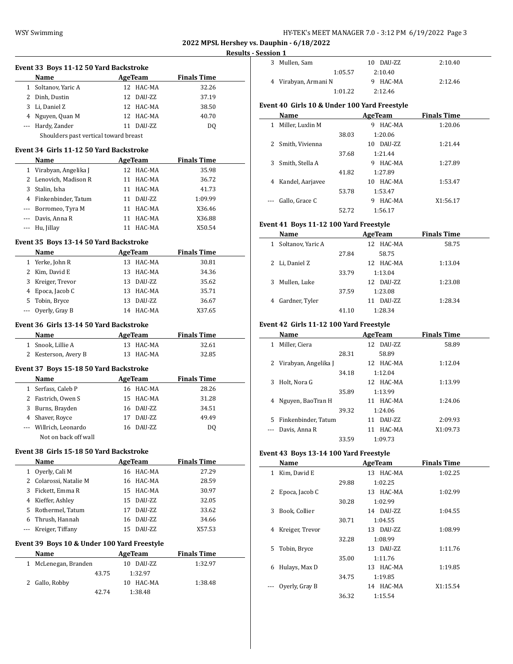| HY-TEK's MEET MANAGER 7.0 - 3:12 PM 6/19/2022 Page 3 |  |  |  |
|------------------------------------------------------|--|--|--|
|------------------------------------------------------|--|--|--|

**2022 MPSL Hershey vs. Dauphin - 6/18/2022**

### **- Session 1**

|              | Event 33 Boys 11-12 50 Yard Backstroke                     |                |                    |
|--------------|------------------------------------------------------------|----------------|--------------------|
|              | Name                                                       | <b>AgeTeam</b> | <b>Finals Time</b> |
| $\mathbf{1}$ | Soltanov, Yaric A                                          | 12 HAC-MA      | 32.26              |
|              | 2 Dinh, Dustin                                             | 12 DAU-ZZ      | 37.19              |
|              | 3 Li, Daniel Z                                             | 12 HAC-MA      | 38.50              |
|              | 4 Nguyen, Quan M                                           | 12 HAC-MA      | 40.70              |
|              | --- Hardy, Zander<br>Shoulders past vertical toward breast | 11 DAU-ZZ      | DQ                 |
|              | Event 34 Girls 11-12 50 Yard Backstroke                    |                |                    |
|              | Name                                                       | AgeTeam        | <b>Finals Time</b> |
|              | 1 Virabyan, Angelika J                                     | 12 HAC-MA      | 35.98              |
|              | 2 Lenovich, Madison R                                      | 11 HAC-MA      | 36.72              |
|              | 3 Stalin, Isha                                             | 11 HAC-MA      | 41.73              |
|              | 4 Finkenbinder, Tatum                                      | 11 DAU-ZZ      | 1:09.99            |
|              | --- Borromeo, Tyra M                                       | 11 HAC-MA      | X36.46             |
|              | --- Davis, Anna R                                          | 11 HAC-MA      | X36.88             |
|              | --- Hu, Jillay                                             | 11 HAC-MA      | X50.54             |
|              | Event 35 Boys 13-14 50 Yard Backstroke                     |                |                    |
|              | Name                                                       | <b>AgeTeam</b> | <b>Finals Time</b> |
|              | 1 Yerke, John R                                            | 13 HAC-MA      | 30.81              |
|              | 2 Kim, David E                                             | 13 HAC-MA      | 34.36              |
|              | 3 Kreiger, Trevor                                          | 13 DAU-ZZ      | 35.62              |
|              | 4 Epoca, Jacob C                                           | 13 HAC-MA      | 35.71              |
|              | 5 Tobin, Bryce                                             | 13 DAU-ZZ      | 36.67              |
| $---$        | Oyerly, Gray B                                             | 14 HAC-MA      | X37.65             |
|              | Event 36 Girls 13-14 50 Yard Backstroke                    |                |                    |
|              | Name                                                       | AgeTeam        | <b>Finals Time</b> |
|              | 1 Snook, Lillie A                                          | 13 HAC-MA      | 32.61              |
|              | 2 Kesterson, Avery B                                       | 13 HAC-MA      | 32.85              |
|              | Event 37 Boys 15-18 50 Yard Backstroke                     |                |                    |
|              | Name                                                       | AgeTeam        | <b>Finals Time</b> |
|              | 1 Serfass, Caleb P                                         | 16 HAC-MA      | 28.26              |
|              | 2 Fastrich, Owen S                                         | 15 HAC-MA      | 31.28              |
|              | 3 Burns, Brayden                                           | 16 DAU-ZZ      | 34.51              |
|              | 4 Shaver, Royce                                            | 17 DAU-ZZ      | 49.49              |
|              | Willrich, Leonardo                                         | 16 DAU-ZZ      | DQ                 |
|              | Not on back off wall                                       |                |                    |
|              | Event 38 Girls 15-18 50 Yard Backstroke                    |                |                    |
|              | Name                                                       | <b>AgeTeam</b> | <b>Finals Time</b> |
|              | 1 Oyerly, Cali M                                           | 16 HAC-MA      | 27.29              |
|              | 2 Colarossi, Natalie M                                     | 16 HAC-MA      | 28.59              |
|              | 3 Fickett, Emma R                                          | 15 HAC-MA      | 30.97              |
|              | 4 Kieffer, Ashley                                          | 15 DAU-ZZ      | 32.05              |
|              | 5 Rothermel, Tatum                                         | 17 DAU-ZZ      | 33.62              |
|              |                                                            | 16 DAU-ZZ      | 34.66              |
|              | 6 Thrush, Hannah                                           |                |                    |
|              | Kreiger, Tiffany                                           | 15<br>DAU-ZZ   | X57.53             |
|              | Event 39 Boys 10 & Under 100 Yard Freestyle                |                |                    |
|              | Name                                                       | AgeTeam        | <b>Finals Time</b> |
|              | 1 McLenegan, Branden                                       | 10 DAU-ZZ      | 1:32.97            |
|              | 43.75                                                      | 1:32.97        |                    |
| 2            | Gallo, Robby                                               | 10 HAC-MA      | 1:38.48            |

| Mullen, Sam          | 10 DAU-ZZ | 2:10.40 |  |
|----------------------|-----------|---------|--|
| 1:05.57              | 2:10.40   |         |  |
| 4 Virabyan, Armani N | 9 HAC-MA  | 2:12.46 |  |
| 1:01.22              | 2:12.46   |         |  |

### **Event 40 Girls 10 & Under 100 Yard Freestyle**

|   | <b>Name</b>      |       | AgeTeam      | <b>Finals Time</b> |  |
|---|------------------|-------|--------------|--------------------|--|
| 1 | Miller, Luxlin M |       | HAC-MA<br>9  | 1:20.06            |  |
|   |                  | 38.03 | 1:20.06      |                    |  |
| 2 | Smith, Vivienna  |       | DAU-ZZ<br>10 | 1:21.44            |  |
|   |                  | 37.68 | 1:21.44      |                    |  |
| 3 | Smith, Stella A  |       | HAC-MA<br>9  | 1:27.89            |  |
|   |                  | 41.82 | 1:27.89      |                    |  |
| 4 | Kandel, Aarjavee |       | HAC-MA<br>10 | 1:53.47            |  |
|   |                  | 53.78 | 1:53.47      |                    |  |
|   | Gallo, Grace C   |       | HAC-MA<br>9  | X1:56.17           |  |
|   |                  | 52.72 | 1:56.17      |                    |  |

## **Event 41 Boys 11-12 100 Yard Freestyle**

| Name                   | AgeTeam |              | <b>Finals Time</b> |  |
|------------------------|---------|--------------|--------------------|--|
| Soltanov, Yaric A<br>1 |         | HAC-MA<br>12 | 58.75              |  |
|                        | 27.84   | 58.75        |                    |  |
| 2 Li, Daniel Z         |         | HAC-MA<br>12 | 1:13.04            |  |
|                        | 33.79   | 1:13.04      |                    |  |
| Mullen, Luke<br>3      |         | DAU-ZZ<br>12 | 1:23.08            |  |
|                        | 37.59   | 1:23.08      |                    |  |
| Gardner, Tyler<br>4    |         | DAU-ZZ<br>11 | 1:28.34            |  |
|                        | 41.10   | 1:28.34      |                    |  |

# **Event 42 Girls 11-12 100 Yard Freestyle**

|    | Name                 | AgeTeam      | <b>Finals Time</b> |
|----|----------------------|--------------|--------------------|
| 1  | Miller, Ciera        | 12 DAU-ZZ    | 58.89              |
|    | 28.31                | 58.89        |                    |
| 2  | Virabyan, Angelika J | 12 HAC-MA    | 1:12.04            |
|    | 34.18                | 1:12.04      |                    |
| 3  | Holt, Nora G         | 12 HAC-MA    | 1:13.99            |
|    | 35.89                | 1:13.99      |                    |
| 4  | Nguyen, BaoTran H    | HAC-MA<br>11 | 1:24.06            |
|    | 39.32                | 1:24.06      |                    |
| 5. | Finkenbinder, Tatum  | DAU-ZZ<br>11 | 2:09.93            |
|    | Davis, Anna R        | HAC-MA<br>11 | X1:09.73           |
|    | 33.59                | 1:09.73      |                    |

# **Event 43 Boys 13-14 100 Yard Freestyle**

| Name                 |       | AgeTeam   | <b>Finals Time</b> |  |
|----------------------|-------|-----------|--------------------|--|
| Kim, David E<br>1    |       | 13 HAC-MA | 1:02.25            |  |
|                      | 29.88 | 1:02.25   |                    |  |
| Epoca, Jacob C<br>2  |       | 13 HAC-MA | 1:02.99            |  |
|                      | 30.28 | 1:02.99   |                    |  |
| Book, Collier<br>3   |       | 14 DAU-ZZ | 1:04.55            |  |
|                      | 30.71 | 1:04.55   |                    |  |
| Kreiger, Trevor<br>4 |       | 13 DAU-ZZ | 1:08.99            |  |
|                      | 32.28 | 1:08.99   |                    |  |
| Tobin, Bryce<br>5.   |       | 13 DAU-ZZ | 1:11.76            |  |
|                      | 35.00 | 1:11.76   |                    |  |
| Hulays, Max D<br>6   |       | 13 HAC-MA | 1:19.85            |  |
|                      | 34.75 | 1:19.85   |                    |  |
| Overly, Gray B       |       | 14 HAC-MA | X1:15.54           |  |
|                      | 36.32 | 1:15.54   |                    |  |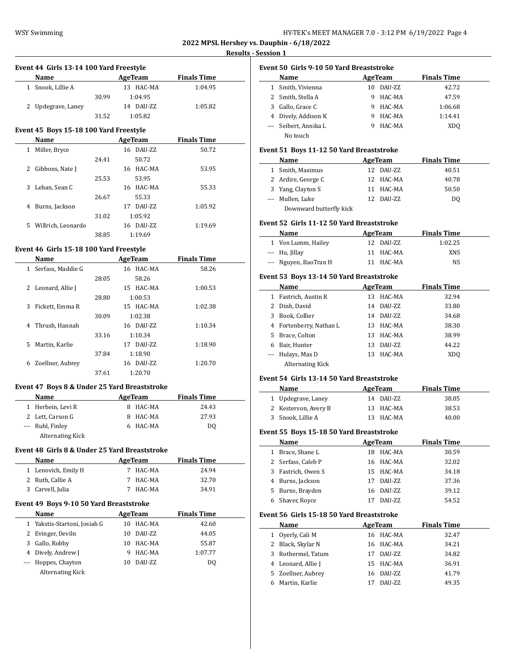**2022 MPSL Hershey vs. Dauphin - 6/18/2022**

# **Results - Session 1**

|     | Event 44 Girls 13-14 100 Yard Freestyle              |       |                      |                    |
|-----|------------------------------------------------------|-------|----------------------|--------------------|
|     | Name                                                 |       | <b>AgeTeam</b>       | <b>Finals Time</b> |
|     | 1 Snook, Lillie A                                    |       | 13 HAC-MA            | 1:04.95            |
|     |                                                      | 30.99 | 1:04.95<br>14 DAU-ZZ | 1:05.82            |
|     | 2 Updegrave, Laney                                   |       |                      |                    |
|     |                                                      | 31.52 | 1:05.82              |                    |
|     | Event 45 Boys 15-18 100 Yard Freestyle               |       |                      |                    |
|     | <b>Name</b>                                          |       | <b>AgeTeam</b>       | <b>Finals Time</b> |
|     | 1 Miller, Bryce                                      |       | 16 DAU-ZZ            | 50.72              |
|     |                                                      | 24.41 | 50.72                |                    |
| 2   | Gibbons, Nate J                                      |       | 16 HAC-MA            | 53.95              |
|     |                                                      | 25.53 | 53.95                |                    |
| 3   | Lehan, Sean C                                        |       | 16 HAC-MA            | 55.33              |
|     |                                                      | 26.67 | 55.33                |                    |
| 4   | Burns, Jackson                                       |       | 17 DAU-ZZ            | 1:05.92            |
|     |                                                      | 31.02 | 1:05.92              |                    |
|     | 5 Willrich, Leonardo                                 |       | 16 DAU-ZZ            | 1:19.69            |
|     |                                                      | 38.85 | 1:19.69              |                    |
|     | Event 46 Girls 15-18 100 Yard Freestyle              |       |                      |                    |
|     | Name                                                 |       | <b>AgeTeam</b>       | <b>Finals Time</b> |
|     | 1 Serfass, Maddie G                                  |       | 16 HAC-MA            | 58.26              |
|     |                                                      | 28.05 | 58.26                |                    |
|     | 2 Leonard, Allie J                                   |       | 15 HAC-MA            | 1:00.53            |
|     |                                                      | 28.80 | 1:00.53              |                    |
| 3   | Fickett, Emma R                                      |       | 15 HAC-MA            | 1:02.38            |
|     |                                                      | 30.09 | 1:02.38              |                    |
| 4   | Thrush, Hannah                                       |       | 16 DAU-ZZ            | 1:10.34            |
|     |                                                      | 33.16 | 1:10.34              |                    |
| 5   | Martin, Karlie                                       |       | 17 DAU-ZZ            | 1:18.90            |
|     |                                                      | 37.84 | 1:18.90              |                    |
|     | 6 Zoellner, Aubrey                                   |       | 16 DAU-ZZ            | 1:20.70            |
|     |                                                      | 37.61 | 1:20.70              |                    |
|     |                                                      |       |                      |                    |
|     | Event 47 Boys 8 & Under 25 Yard Breaststroke<br>Name |       | <b>AgeTeam</b>       | <b>Finals Time</b> |
|     | 1 Herbein, Levi R                                    |       | 8 HAC-MA             | 24.43              |
|     | 2 Lett, Carson G                                     |       | 8 HAC-MA             | 27.93              |
| --- | Ruhl, Finley                                         |       | 6 HAC-MA             | DQ                 |
|     | <b>Alternating Kick</b>                              |       |                      |                    |
|     |                                                      |       |                      |                    |
|     |                                                      |       |                      |                    |
|     | Event 48 Girls 8 & Under 25 Yard Breaststroke        |       | <b>AgeTeam</b>       | <b>Finals Time</b> |
|     | Name                                                 |       |                      |                    |
|     | 1 Lenovich, Emily H                                  |       | 7 HAC-MA             | 24.94              |
|     | 2 Ruth, Callie A                                     |       | 7<br>HAC-MA          | 32.70              |
|     | 3 Carvell, Julia                                     |       | HAC-MA<br>7          | 34.91              |
|     | Event 49 Boys 9-10 50 Yard Breaststroke              |       |                      |                    |
|     | Name                                                 |       | <b>AgeTeam</b>       | <b>Finals Time</b> |
|     | 1 Yakstis-Startoni, Josiah G                         |       | HAC-MA<br>10         | 42.60              |
|     | 2 Evinger, Deviln                                    |       | 10 DAU-ZZ            | 44.05              |
|     | 3 Gallo, Robby                                       |       | 10 HAC-MA            | 55.87              |
|     | 4 Dively, Andrew J                                   |       | 9 HAC-MA             | 1:07.77            |
|     |                                                      |       | DAU-ZZ<br>10         | DQ                 |
|     | --- Hoppes, Chayton<br><b>Alternating Kick</b>       |       |                      |                    |

| Event 50 Girls 9-10 50 Yard Breaststroke |                       |    |         |                    |  |  |
|------------------------------------------|-----------------------|----|---------|--------------------|--|--|
|                                          | Name                  |    | AgeTeam | <b>Finals Time</b> |  |  |
| 1                                        | Smith, Vivienna       | 10 | DAU-ZZ  | 42.72              |  |  |
|                                          | 2 Smith, Stella A     | 9  | HAC-MA  | 47.59              |  |  |
| 3                                        | Gallo, Grace C        | 9  | HAC-MA  | 1:06.68            |  |  |
|                                          | 4 Dively, Addison K   | 9  | HAC-MA  | 1:14.41            |  |  |
|                                          | --- Seibert, Annika L | 9  | HAC-MA  | XDO                |  |  |
|                                          | No touch              |    |         |                    |  |  |

#### **Event 51 Boys 11-12 50 Yard Breaststroke**

| <b>Name</b>             | AgeTeam |           | <b>Finals Time</b> |
|-------------------------|---------|-----------|--------------------|
| 1 Smith, Maximus        |         | 12 DAU-ZZ | 40.51              |
| 2 Ardire, George C      |         | 12 HAC-MA | 40.78              |
| 3 Yang, Clayton S       |         | 11 HAC-MA | 50.50              |
| --- Mullen, Luke        |         | 12 DAU-ZZ | D <sub>0</sub>     |
| Downward butterfly kick |         |           |                    |

#### **Event 52 Girls 11-12 50 Yard Breaststroke**

| Name                  | AgeTeam   | <b>Finals Time</b> |  |
|-----------------------|-----------|--------------------|--|
| 1 Von Lumm, Hailey    | 12 DAU-ZZ | 1:02.25            |  |
| --- Hu, Jillay        | 11 HAC-MA | XNS                |  |
| --- Nguyen, BaoTran H | 11 HAC-MA | NS                 |  |

#### **Event 53 Boys 13-14 50 Yard Breaststroke**

|              | <b>Name</b>             |    | AgeTeam | <b>Finals Time</b> |  |
|--------------|-------------------------|----|---------|--------------------|--|
| $\mathbf{1}$ | Fastrich, Austin R      | 13 | HAC-MA  | 32.94              |  |
|              | 2 Dinh, David           | 14 | DAU-ZZ  | 33.80              |  |
| 3            | Book, Collier           | 14 | DAU-ZZ  | 34.68              |  |
|              | 4 Fortenberry, Nathan L | 13 | HAC-MA  | 38.30              |  |
|              | 5 Brace, Colton         | 13 | HAC-MA  | 38.99              |  |
| 6            | Bair, Hunter            | 13 | DAU-ZZ  | 44.22              |  |
|              | --- Hulays, Max D       | 13 | HAC-MA  | XD <sub>0</sub>    |  |
|              | <b>Alternating Kick</b> |    |         |                    |  |
|              |                         |    |         |                    |  |

### **Event 54 Girls 13-14 50 Yard Breaststroke**

| Name                 | AgeTeam   | <b>Finals Time</b> |  |
|----------------------|-----------|--------------------|--|
| 1 Updegrave, Laney   | 14 DAU-ZZ | 38.05              |  |
| 2 Kesterson, Avery B | 13 HAC-MA | 38.53              |  |
| 3 Snook, Lillie A    | 13 HAC-MA | 40.00              |  |

#### **Event 55 Boys 15-18 50 Yard Breaststroke**

| <b>Name</b>         | AgeTeam       | <b>Finals Time</b> |
|---------------------|---------------|--------------------|
| Brace, Shane L<br>1 | HAC-MA<br>18. | 30.59              |
| 2 Serfass, Caleb P  | 16 HAC-MA     | 32.02              |
| 3 Fastrich, Owen S  | 15 HAC-MA     | 34.18              |
| 4 Burns, Jackson    | DAU-ZZ<br>17  | 37.36              |
| 5 Burns, Brayden    | DAU-ZZ<br>16. | 39.12              |
| Shaver, Royce<br>6  | DAU-ZZ        | 54.52              |

#### **Event 56 Girls 15-18 50 Yard Breaststroke**

| Name               | AgeTeam |           | <b>Finals Time</b> |
|--------------------|---------|-----------|--------------------|
| 1 Overly, Cali M   |         | 16 HAC-MA | 32.47              |
| 2 Black, Skylar N  |         | 16 HAC-MA | 34.21              |
| 3 Rothermel, Tatum | 17      | DAU-ZZ    | 34.82              |
| 4 Leonard, Allie J |         | 15 HAC-MA | 36.91              |
| 5 Zoellner, Aubrey |         | 16 DAU-ZZ | 41.79              |
| Martin, Karlie     |         | DAU-ZZ    | 49.35              |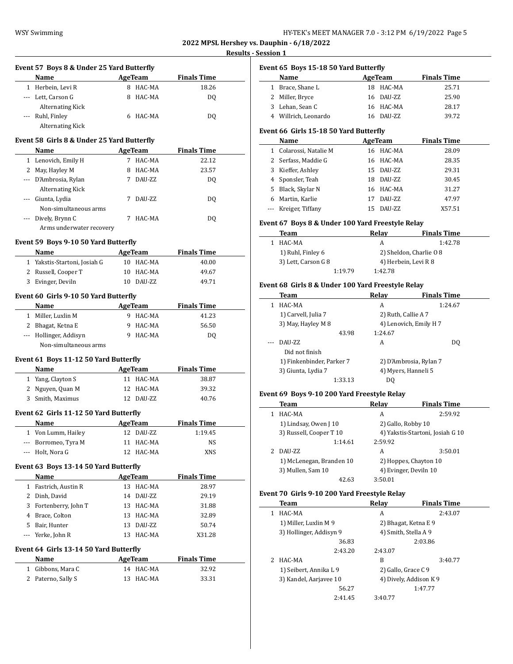**2022 MPSL Hershey vs. Dauphin - 6/18/2022**

 $\overline{\phantom{a}}$ 

 $\sim$ 

#### **Results - Session 1**

| Event 57 Boys 8 & Under 25 Yard Butterfly |                         |   |         |                    |  |
|-------------------------------------------|-------------------------|---|---------|--------------------|--|
|                                           | <b>Name</b>             |   | AgeTeam | <b>Finals Time</b> |  |
|                                           | 1 Herbein, Levi R       |   | HAC-MA  | 18.26              |  |
|                                           | --- Lett, Carson G      | 8 | HAC-MA  | DO.                |  |
|                                           | <b>Alternating Kick</b> |   |         |                    |  |
|                                           | --- Ruhl, Finley        |   | HAC-MA  | DO.                |  |
|                                           | <b>Alternating Kick</b> |   |         |                    |  |

### **Event 58 Girls 8 & Under 25 Yard Butterfly**

|   | Name                     |   | AgeTeam | <b>Finals Time</b> |  |
|---|--------------------------|---|---------|--------------------|--|
|   | 1 Lenovich, Emily H      |   | HAC-MA  | 22.12              |  |
| 2 | May, Hayley M            | 8 | HAC-MA  | 23.57              |  |
|   | --- D'Ambrosia, Rylan    |   | DAU-ZZ  | DO.                |  |
|   | <b>Alternating Kick</b>  |   |         |                    |  |
|   | Giunta, Lydia            |   | DAU-ZZ  | DO.                |  |
|   | Non-simultaneous arms    |   |         |                    |  |
|   | Dively, Brynn C          |   | HAC-MA  | DO                 |  |
|   | Arms underwater recovery |   |         |                    |  |

### **Event 59 Boys 9-10 50 Yard Butterfly**

| <b>Name</b>                  | AgeTeam     | <b>Finals Time</b> |  |
|------------------------------|-------------|--------------------|--|
| 1 Yakstis-Startoni, Josiah G | 10 HAC-MA   | 40.00              |  |
| 2 Russell, Cooper T          | 10 HAC-MA   | 49.67              |  |
| 3 Evinger, Deviln            | 10 DAU-7.7. | 49.71              |  |

#### **Event 60 Girls 9-10 50 Yard Butterfly**

| <b>Name</b>                           | AgeTeam |         | <b>Finals Time</b> |  |
|---------------------------------------|---------|---------|--------------------|--|
| Miller, Luxlin M                      | 9       | HAC-MA  | 41.23              |  |
| Bhagat, Ketna E                       | 9       | HAC-MA  | 56.50              |  |
| --- Hollinger, Addisyn                |         | HAC-MA  | DO.                |  |
| Non-simultaneous arms                 |         |         |                    |  |
| Event 61 Boys 11-12 50 Yard Butterfly |         |         |                    |  |
| Namo                                  |         | AgaTaam | Finale Timo        |  |

| <b>Name</b>       | AgeTeam   | <b>Finals Time</b> |
|-------------------|-----------|--------------------|
| 1 Yang, Clayton S | 11 HAC-MA | 38.87              |
| 2 Nguyen, Quan M  | 12 HAC-MA | 39.32              |
| 3 Smith, Maximus  | 12 DAU-ZZ | 40.76              |

#### **Event 62 Girls 11-12 50 Yard Butterfly**

| <b>Name</b>          | AgeTeam   | <b>Finals Time</b> |
|----------------------|-----------|--------------------|
| 1 Von Lumm, Hailey   | 12 DAU-ZZ | 1:19.45            |
| --- Borromeo, Tyra M | 11 HAC-MA | NS.                |
| --- Holt, Nora G     | 12 HAC-MA | XNS                |

### **Event 63 Boys 13-14 50 Yard Butterfly**

|    | Name                 | AgeTeam |           | <b>Finals Time</b> |  |
|----|----------------------|---------|-----------|--------------------|--|
|    | 1 Fastrich, Austin R | 13      | HAC-MA    | 28.97              |  |
| 2  | Dinh, David          |         | 14 DAU-ZZ | 29.19              |  |
| 3  | Fortenberry, John T  | 13.     | HAC-MA    | 31.88              |  |
| 4  | Brace, Colton        | 13.     | HAC-MA    | 32.89              |  |
| 5. | Bair, Hunter         | 13.     | DAU-ZZ    | 50.74              |  |
|    | --- Yerke, John R    |         | HAC-MA    | X31.28             |  |

#### **Event 64 Girls 13-14 50 Yard Butterfly**

| <b>Name</b>        | AgeTeam   | <b>Finals Time</b> |  |
|--------------------|-----------|--------------------|--|
| 1 Gibbons, Mara C  | 14 HAC-MA | 32.92              |  |
| 2 Paterno, Sally S | 13 HAC-MA | 33.31              |  |

| <b>Name</b>          | AgeTeam   | <b>Finals Time</b> |  |
|----------------------|-----------|--------------------|--|
| 1 Brace, Shane L     | 18 HAC-MA | 25.71              |  |
| 2 Miller, Bryce      | 16 DAU-ZZ | 25.90              |  |
| 3 Lehan, Sean C      | 16 HAC-MA | 28.17              |  |
| 4 Willrich, Leonardo | 16 DAU-ZZ | 39.72              |  |

### **Event 66 Girls 15-18 50 Yard Butterfly**

|    | Name                   |    | AgeTeam   | <b>Finals Time</b> |
|----|------------------------|----|-----------|--------------------|
|    | 1 Colarossi, Natalie M |    | 16 HAC-MA | 28.09              |
|    | 2 Serfass, Maddie G    |    | 16 HAC-MA | 28.35              |
|    | 3 Kieffer, Ashley      |    | 15 DAU-ZZ | 29.31              |
|    | 4 Sponsler, Teah       | 18 | DAU-ZZ    | 30.45              |
|    | 5 Black, Skylar N      |    | 16 HAC-MA | 31.27              |
| 6. | Martin, Karlie         | 17 | DAU-ZZ    | 47.97              |
|    | --- Kreiger, Tiffany   | 15 | DAU-ZZ    | X57.51             |

#### **Event 67 Boys 8 & Under 100 Yard Freestyle Relay**

| Team                |         | Relav                | <b>Finals Time</b>      |
|---------------------|---------|----------------------|-------------------------|
| HAC-MA              |         | А                    | 1:42.78                 |
| 1) Ruhl, Finley 6   |         |                      | 2) Sheldon, Charlie O 8 |
| 3) Lett, Carson G 8 |         | 4) Herbein, Levi R 8 |                         |
|                     | 1:19.79 | 1:42.78              |                         |

### **Event 68 Girls 8 & Under 100 Yard Freestyle Relay**

| <b>Team</b>               | Relav                  | <b>Finals Time</b> |
|---------------------------|------------------------|--------------------|
| HAC-MA                    | A                      | 1:24.67            |
| 1) Carvell, Julia 7       | 2) Ruth, Callie A 7    |                    |
| 3) May, Hayley M 8        | 4) Lenovich, Emily H 7 |                    |
| 43.98                     | 1:24.67                |                    |
| <b>DAU-7.7.</b>           | A                      | D <sub>0</sub>     |
| Did not finish            |                        |                    |
| 1) Finkenbinder, Parker 7 | 2) D'Ambrosia, Rylan 7 |                    |
| 3) Giunta, Lydia 7        | 4) Myers, Hanneli 5    |                    |
| 1:33.13                   | DO                     |                    |

### **Event 69 Boys 9-10 200 Yard Freestyle Relay**

| Team                     | Relav   | <b>Finals Time</b>               |
|--------------------------|---------|----------------------------------|
| HAC-MA                   | A       | 2:59.92                          |
| 1) Lindsay, Owen J 10    |         | 2) Gallo, Robby 10               |
| 3) Russell, Cooper T 10  |         | 4) Yakstis-Startoni, Josiah G 10 |
| 1:14.61                  | 2:59.92 |                                  |
| DAU-ZZ                   | A       | 3:50.01                          |
| 1) McLenegan, Branden 10 |         | 2) Hoppes, Chayton 10            |
| 3) Mullen, Sam 10        |         | 4) Evinger, Deviln 10            |
| 42.63                    | 3:50.01 |                                  |
|                          |         |                                  |

### **Event 70 Girls 9-10 200 Yard Freestyle Relay**

|   | Team                    | Relay   | <b>Finals Time</b>     |
|---|-------------------------|---------|------------------------|
| 1 | HAC-MA                  | A       | 2:43.07                |
|   | 1) Miller, Luxlin M 9   |         | 2) Bhagat, Ketna E 9   |
|   | 3) Hollinger, Addisyn 9 |         | 4) Smith, Stella A 9   |
|   | 36.83                   |         | 2:03.86                |
|   | 2:43.20                 | 2:43.07 |                        |
|   | HAC-MA                  | B       | 3:40.77                |
|   | 1) Seibert, Annika L 9  |         | 2) Gallo, Grace C 9    |
|   | 3) Kandel, Aarjavee 10  |         | 4) Dively, Addison K 9 |
|   | 56.27                   |         | 1:47.77                |
|   | 2:41.45                 | 3:40.77 |                        |